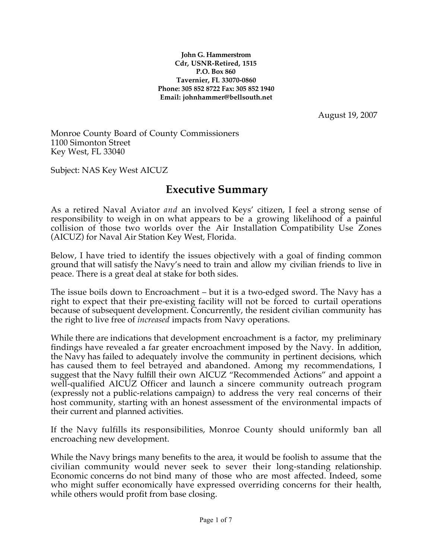**John G. Hammerstrom Cdr, USNR-Retired, 1515 P.O. Box 860 Tavernier, FL 33070-0860 Phone: 305 852 8722 Fax: 305 852 1940 Email: johnhammer@bellsouth.net**

August 19, 2007

Monroe County Board of County Commissioners 1100 Simonton Street Key West, FL 33040

Subject: NAS Key West AICUZ

# **Executive Summary**

As a retired Naval Aviator *and* an involved Keys' citizen, I feel a strong sense of responsibility to weigh in on what appears to be a growing likelihood of a painful collision of those two worlds over the Air Installation Compatibility Use Zones (AICUZ) for Naval Air Station Key West, Florida.

Below, I have tried to identify the issues objectively with a goal of finding common ground that will satisfy the Navy's need to train and allow my civilian friends to live in peace. There is a great deal at stake for both sides.

The issue boils down to Encroachment – but it is a two-edged sword. The Navy has a right to expect that their pre-existing facility will not be forced to curtail operations because of subsequent development. Concurrently, the resident civilian community has the right to live free of *increased* impacts from Navy operations.

While there are indications that development encroachment is a factor, my preliminary findings have revealed a far greater encroachment imposed by the Navy. In addition, the Navy has failed to adequately involve the community in pertinent decisions, which has caused them to feel betrayed and abandoned. Among my recommendations, I suggest that the Navy fulfill their own AICUZ "Recommended Actions" and appoint a well-qualified AICUZ Officer and launch a sincere community outreach program (expressly not a public-relations campaign) to address the very real concerns of their host community, starting with an honest assessment of the environmental impacts of their current and planned activities.

If the Navy fulfills its responsibilities, Monroe County should uniformly ban all encroaching new development.

While the Navy brings many benefits to the area, it would be foolish to assume that the civilian community would never seek to sever their long-standing relationship. Economic concerns do not bind many of those who are most affected. Indeed, some who might suffer economically have expressed overriding concerns for their health, while others would profit from base closing.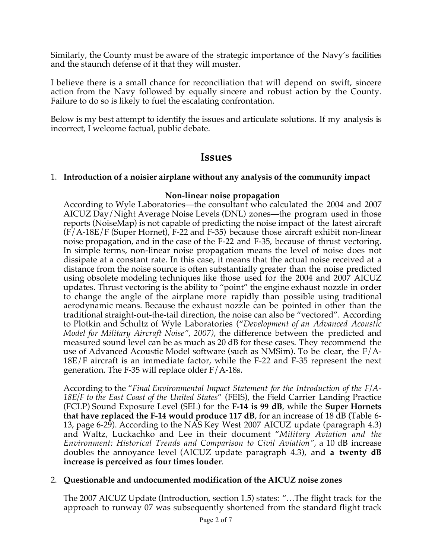Similarly, the County must be aware of the strategic importance of the Navy's facilities and the staunch defense of it that they will muster.

I believe there is a small chance for reconciliation that will depend on swift, sincere action from the Navy followed by equally sincere and robust action by the County. Failure to do so is likely to fuel the escalating confrontation.

Below is my best attempt to identify the issues and articulate solutions. If my analysis is incorrect, I welcome factual, public debate.

## **Issues**

### 1. **Introduction of a noisier airplane without any analysis of the community impact**

#### **Non-linear noise propagation**

According to Wyle Laboratories—the consultant who calculated the 2004 and 2007 AICUZ Day/Night Average Noise Levels (DNL) zones—the program used in those reports (NoiseMap) is not capable of predicting the noise impact of the latest aircraft (F/A-18E/F (Super Hornet), F-22 and F-35) because those aircraft exhibit non-linear noise propagation, and in the case of the F-22 and F-35, because of thrust vectoring. In simple terms, non-linear noise propagation means the level of noise does not dissipate at a constant rate. In this case, it means that the actual noise received at a distance from the noise source is often substantially greater than the noise predicted using obsolete modeling techniques like those used for the 2004 and 2007 AICUZ updates. Thrust vectoring is the ability to "point" the engine exhaust nozzle in order to change the angle of the airplane more rapidly than possible using traditional aerodynamic means. Because the exhaust nozzle can be pointed in other than the traditional straight-out-the-tail direction, the noise can also be "vectored". According to Plotkin and Schultz of Wyle Laboratories ("*Development of an Advanced Acoustic Model for Military Aircraft Noise", 2007)*, the difference between the predicted and measured sound level can be as much as 20 dB for these cases. They recommend the use of Advanced Acoustic Model software (such as NMSim). To be clear, the  $F/A$ -18E/F aircraft is an immediate factor, while the F-22 and F-35 represent the next generation. The F-35 will replace older  $F/A-18s$ .

According to the "*Final Environmental Impact Statement for the Introduction of the F/A-18E/F to the East Coast of the United States*" (FEIS), the Field Carrier Landing Practice (FCLP) Sound Exposure Level (SEL) for the **F-14 is 99 dB**, while the **Super Hornets that have replaced the F-14 would produce 117 dB**, for an increase of 18 dB (Table 6- 13, page 6-29). According to the NAS Key West 2007 AICUZ update (paragraph 4.3) and Waltz, Luckachko and Lee in their document "*Military Aviation and the Environment: Historical Trends and Comparison to Civil Aviation",* a 10 dB increase doubles the annoyance level (AICUZ update paragraph 4.3), and **a twenty dB increase is perceived as four times louder**.

#### 2. **Questionable and undocumented modification of the AICUZ noise zones**

The 2007 AICUZ Update (Introduction, section 1.5) states: "…The flight track for the approach to runway 07 was subsequently shortened from the standard flight track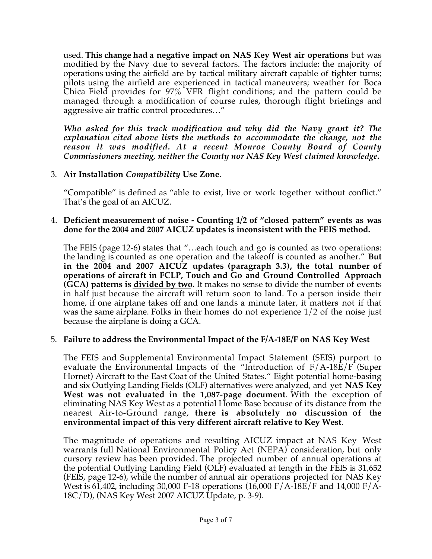used. **This change had a negative impact on NAS Key West air operations** but was modified by the Navy due to several factors. The factors include: the majority of operations using the airfield are by tactical military aircraft capable of tighter turns; pilots using the airfield are experienced in tactical maneuvers; weather for Boca Chica Field provides for 97% VFR flight conditions; and the pattern could be managed through a modification of course rules, thorough flight briefings and aggressive air traffic control procedures…"

*Who asked for this track modification and why did the Navy grant it? The explanation cited above lists the methods to accommodate the change, not the reason it was modified. At a recent Monroe County Board of County Commissioners meeting, neither the County nor NAS Key West claimed knowledge.*

### 3. **Air Installation** *Compatibility* **Use Zone**.

"Compatible" is defined as "able to exist, live or work together without conflict." That's the goal of an AICUZ.

#### 4. **Deficient measurement of noise - Counting 1/2 of "closed pattern" events as was done for the 2004 and 2007 AICUZ updates is inconsistent with the FEIS method.**

The FEIS (page 12-6) states that "…each touch and go is counted as two operations: the landing is counted as one operation and the takeoff is counted as another." **But in the 2004 and 2007 AICUZ updates (paragraph 3.3), the total number of operations of aircraft in FCLP, Touch and Go and Ground Controlled Approach (GCA) patterns is divided by two.** It makes no sense to divide the number of events in half just because the aircraft will return soon to land. To a person inside their home, if one airplane takes off and one lands a minute later, it matters not if that was the same airplane. Folks in their homes do not experience 1/2 of the noise just because the airplane is doing a GCA.

#### 5. **Failure to address the Environmental Impact of the F/A-18E/F on NAS Key West**

The FEIS and Supplemental Environmental Impact Statement (SEIS) purport to evaluate the Environmental Impacts of the "Introduction of F/A-18E/F (Super Hornet) Aircraft to the East Coat of the United States." Eight potential home-basing and six Outlying Landing Fields (OLF) alternatives were analyzed, and yet **NAS Key West was not evaluated in the 1,087-page document**. With the exception of eliminating NAS Key West as a potential Home Base because of its distance from the nearest Air-to-Ground range, **there is absolutely no discussion of the environmental impact of this very different aircraft relative to Key West**.

The magnitude of operations and resulting AICUZ impact at NAS Key West warrants full National Environmental Policy Act (NEPA) consideration, but only cursory review has been provided. The projected number of annual operations at the potential Outlying Landing Field (OLF) evaluated at length in the FEIS is 31,652 (FEIS, page 12-6), while the number of annual air operations projected for NAS Key West is 61,402, including 30,000 F-18 operations (16,000 F/A-18E/F and 14,000 F/A-18C/D), (NAS Key West 2007 AICUZ Update, p. 3-9).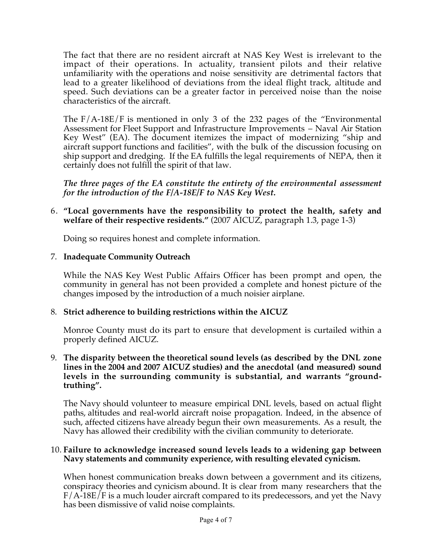The fact that there are no resident aircraft at NAS Key West is irrelevant to the impact of their operations. In actuality, transient pilots and their relative unfamiliarity with the operations and noise sensitivity are detrimental factors that lead to a greater likelihood of deviations from the ideal flight track, altitude and speed. Such deviations can be a greater factor in perceived noise than the noise characteristics of the aircraft.

The F/A-18E/F is mentioned in only 3 of the 232 pages of the "Environmental Assessment for Fleet Support and Infrastructure Improvements – Naval Air Station Key West" (EA). The document itemizes the impact of modernizing "ship and aircraft support functions and facilities", with the bulk of the discussion focusing on ship support and dredging. If the EA fulfills the legal requirements of NEPA, then it certainly does not fulfill the spirit of that law.

*The three pages of the EA constitute the entirety of the environmental assessment for the introduction of the F/A-18E/F to NAS Key West.*

6. **"Local governments have the responsibility to protect the health, safety and welfare of their respective residents."** (2007 AICUZ, paragraph 1.3, page 1-3)

Doing so requires honest and complete information.

### 7. **Inadequate Community Outreach**

While the NAS Key West Public Affairs Officer has been prompt and open, the community in general has not been provided a complete and honest picture of the changes imposed by the introduction of a much noisier airplane.

## 8. **Strict adherence to building restrictions within the AICUZ**

Monroe County must do its part to ensure that development is curtailed within a properly defined AICUZ.

9. **The disparity between the theoretical sound levels (as described by the DNL zone lines in the 2004 and 2007 AICUZ studies) and the anecdotal (and measured) sound levels in the surrounding community is substantial, and warrants "groundtruthing".**

The Navy should volunteer to measure empirical DNL levels, based on actual flight paths, altitudes and real-world aircraft noise propagation. Indeed, in the absence of such, affected citizens have already begun their own measurements. As a result, the Navy has allowed their credibility with the civilian community to deteriorate.

#### 10. **Failure to acknowledge increased sound levels leads to a widening gap between Navy statements and community experience, with resulting elevated cynicism.**

When honest communication breaks down between a government and its citizens, conspiracy theories and cynicism abound. It is clear from many researchers that the F/A-18E/F is a much louder aircraft compared to its predecessors, and yet the Navy has been dismissive of valid noise complaints.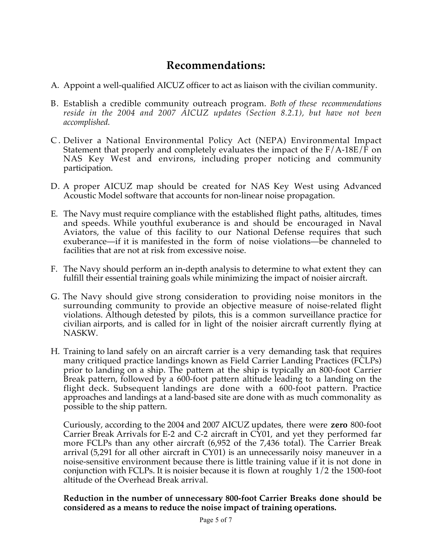# **Recommendations:**

- A. Appoint a well-qualified AICUZ officer to act as liaison with the civilian community.
- B. Establish a credible community outreach program. *Both of these recommendations reside in the 2004 and 2007 AICUZ updates (Section 8.2.1), but have not been accomplished.*
- C . Deliver a National Environmental Policy Act (NEPA) Environmental Impact Statement that properly and completely evaluates the impact of the F/A-18E/F on NAS Key West and environs, including proper noticing and community participation.
- D. A proper AICUZ map should be created for NAS Key West using Advanced Acoustic Model software that accounts for non-linear noise propagation.
- E. The Navy must require compliance with the established flight paths, altitudes, times and speeds. While youthful exuberance is and should be encouraged in Naval Aviators, the value of this facility to our National Defense requires that such exuberance—if it is manifested in the form of noise violations—be channeled to facilities that are not at risk from excessive noise.
- F. The Navy should perform an in-depth analysis to determine to what extent they can fulfill their essential training goals while minimizing the impact of noisier aircraft.
- G. The Navy should give strong consideration to providing noise monitors in the surrounding community to provide an objective measure of noise-related flight violations. Although detested by pilots, this is a common surveillance practice for civilian airports, and is called for in light of the noisier aircraft currently flying at NASKW.
- H. Training to land safely on an aircraft carrier is a very demanding task that requires many critiqued practice landings known as Field Carrier Landing Practices (FCLPs) prior to landing on a ship. The pattern at the ship is typically an 800-foot Carrier Break pattern, followed by a 600-foot pattern altitude leading to a landing on the flight deck. Subsequent landings are done with a 600-foot pattern. Practice approaches and landings at a land-based site are done with as much commonality as possible to the ship pattern.

Curiously, according to the 2004 and 2007 AICUZ updates, there were **zero** 800-foot Carrier Break Arrivals for E-2 and C-2 aircraft in CY01, and yet they performed far more FCLPs than any other aircraft (6,952 of the 7,436 total). The Carrier Break arrival (5,291 for all other aircraft in CY01) is an unnecessarily noisy maneuver in a noise-sensitive environment because there is little training value if it is not done in conjunction with FCLPs. It is noisier because it is flown at roughly 1/2 the 1500-foot altitude of the Overhead Break arrival.

#### **Reduction in the number of unnecessary 800-foot Carrier Breaks done should be considered as a means to reduce the noise impact of training operations.**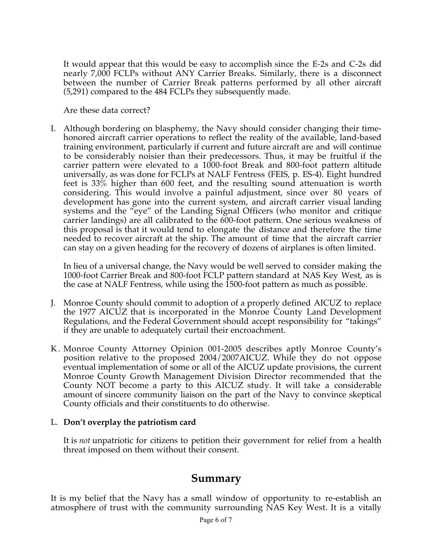It would appear that this would be easy to accomplish since the E-2s and C-2s did nearly 7,000 FCLPs without ANY Carrier Breaks. Similarly, there is a disconnect between the number of Carrier Break patterns performed by all other aircraft (5,291) compared to the 484 FCLPs they subsequently made.

Are these data correct?

I. Although bordering on blasphemy, the Navy should consider changing their timehonored aircraft carrier operations to reflect the reality of the available, land-based training environment, particularly if current and future aircraft are and will continue to be considerably noisier than their predecessors. Thus, it may be fruitful if the carrier pattern were elevated to a 1000-foot Break and 800-foot pattern altitude universally, as was done for FCLPs at NALF Fentress (FEIS, p. ES-4). Eight hundred feet is 33% higher than 600 feet, and the resulting sound attenuation is worth considering. This would involve a painful adjustment, since over 80 years of development has gone into the current system, and aircraft carrier visual landing systems and the "eye" of the Landing Signal Officers (who monitor and critique carrier landings) are all calibrated to the 600-foot pattern. One serious weakness of this proposal is that it would tend to elongate the distance and therefore the time needed to recover aircraft at the ship. The amount of time that the aircraft carrier can stay on a given heading for the recovery of dozens of airplanes is often limited.

In lieu of a universal change, the Navy would be well served to consider making the 1000-foot Carrier Break and 800-foot FCLP pattern standard at NAS Key West, as is the case at NALF Fentress, while using the 1500-foot pattern as much as possible.

- J. Monroe County should commit to adoption of a properly defined AICUZ to replace the 1977 AICUZ that is incorporated in the Monroe County Land Development Regulations, and the Federal Government should accept responsibility for "takings" if they are unable to adequately curtail their encroachment.
- K. Monroe County Attorney Opinion 001-2005 describes aptly Monroe County's position relative to the proposed 2004/2007AICUZ. While they do not oppose eventual implementation of some or all of the AICUZ update provisions, the current Monroe County Growth Management Division Director recommended that the County NOT become a party to this AICUZ study. It will take a considerable amount of sincere community liaison on the part of the Navy to convince skeptical County officials and their constituents to do otherwise.

## L. **Don't overplay the patriotism card**

It is *not* unpatriotic for citizens to petition their government for relief from a health threat imposed on them without their consent.

## **Summary**

It is my belief that the Navy has a small window of opportunity to re-establish an atmosphere of trust with the community surrounding NAS Key West. It is a vitally